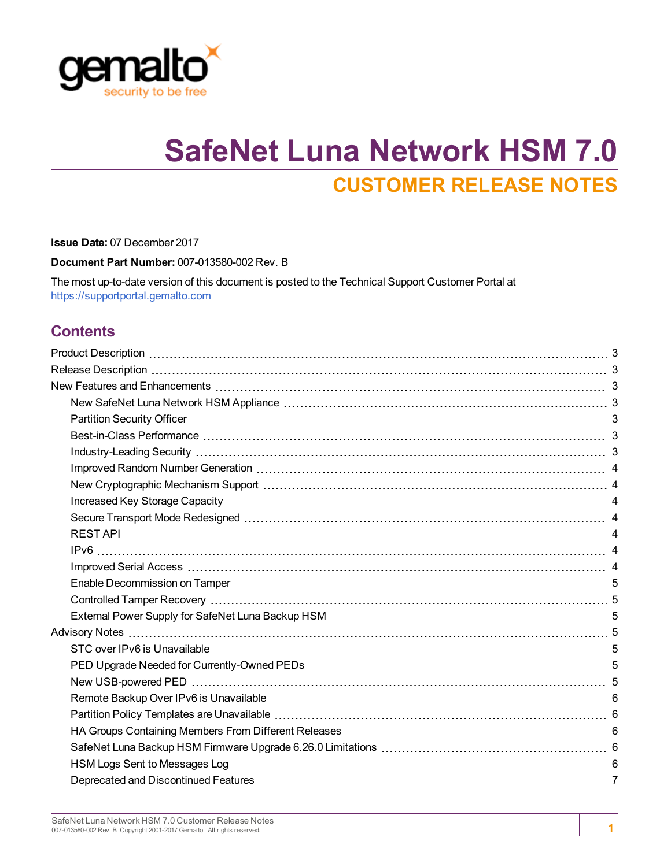

# **SafeNet Luna Network HSM 7.0 CUSTOMER RELEASE NOTES**

**Issue Date:** 07 December 2017

**Document Part Number:** 007-013580-002 Rev. B

The most up-to-date version of this document is posted to the Technical Support Customer Portal at [https://supportportal.gemalto.com](https://supportportal.gemalto.com/)

### **Contents**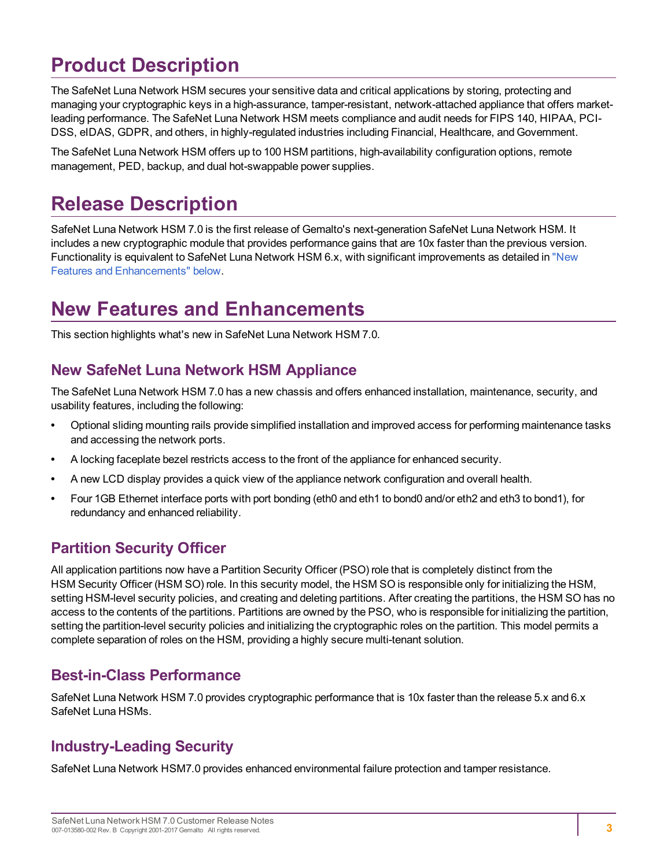## <span id="page-2-0"></span>**Product Description**

The SafeNet Luna Network HSM secures your sensitive data and critical applications by storing, protecting and managing your cryptographic keys in a high-assurance, tamper-resistant, network-attached appliance that offers marketleading performance. The SafeNet Luna Network HSM meets compliance and audit needs for FIPS 140, HIPAA, PCI-DSS, eIDAS, GDPR, and others, in highly-regulated industries including Financial, Healthcare, and Government.

<span id="page-2-1"></span>The SafeNet Luna Network HSM offers up to 100 HSM partitions, high-availability configuration options, remote management, PED, backup, and dual hot-swappable power supplies.

## **Release Description**

SafeNet Luna Network HSM 7.0 is the first release of Gemalto's next-generation SafeNet Luna Network HSM. It includes a new cryptographic module that provides performance gains that are 10x faster than the previous version. Functionality is equivalent to SafeNet Luna Network HSM 6.x, with significant improvements as detailed in ["New](#page-2-2) Features and [Enhancements" below.](#page-2-2)

## <span id="page-2-2"></span>**New Features and Enhancements**

<span id="page-2-3"></span>This section highlights what's new in SafeNet Luna Network HSM 7.0.

### **New SafeNet Luna Network HSM Appliance**

The SafeNet Luna Network HSM 7.0 has a new chassis and offers enhanced installation, maintenance, security, and usability features, including the following:

- **•** Optional sliding mounting rails provide simplified installation and improved access for performing maintenance tasks and accessing the network ports.
- **•** A locking faceplate bezel restricts access to the front of the appliance for enhanced security.
- **•** A new LCD display provides a quick view of the appliance network configuration and overall health.
- **•** Four 1GB Ethernet interface ports with port bonding (eth0 and eth1 to bond0 and/or eth2 and eth3 to bond1), for redundancy and enhanced reliability.

### <span id="page-2-4"></span>**Partition Security Officer**

All application partitions now have a Partition Security Officer (PSO) role that is completely distinct from the HSM Security Officer (HSM SO) role. In this security model, the HSM SO is responsible only for initializing the HSM, setting HSM-level security policies, and creating and deleting partitions. After creating the partitions, the HSM SO has no access to the contents of the partitions. Partitions are owned by the PSO, who is responsible for initializing the partition, setting the partition-level security policies and initializing the cryptographic roles on the partition. This model permits a complete separation of roles on the HSM, providing a highly secure multi-tenant solution.

### <span id="page-2-5"></span>**Best-in-Class Performance**

SafeNet Luna Network HSM 7.0 provides cryptographic performance that is 10x faster than the release 5.x and 6.x SafeNet Luna HSMs.

### <span id="page-2-6"></span>**Industry-Leading Security**

SafeNet Luna Network HSM7.0 provides enhanced environmental failure protection and tamper resistance.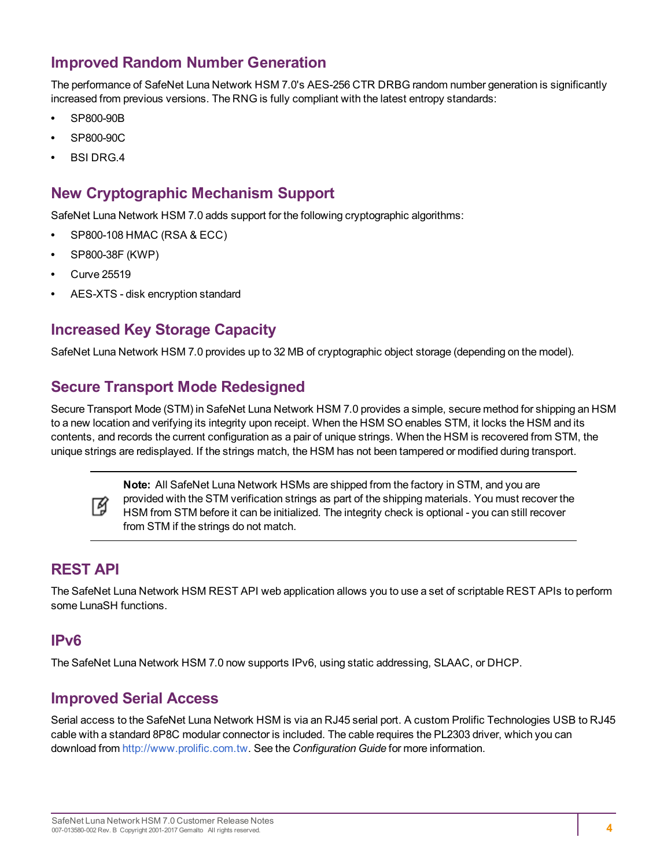### <span id="page-3-0"></span>**Improved Random Number Generation**

The performance of SafeNet Luna Network HSM 7.0's AES-256 CTR DRBG random number generation is significantly increased from previous versions. The RNG is fully compliant with the latest entropy standards:

- **•** SP800-90B
- **•** SP800-90C
- <span id="page-3-1"></span>**•** BSI DRG.4

### **New Cryptographic Mechanism Support**

SafeNet Luna Network HSM 7.0 adds support for the following cryptographic algorithms:

- **•** SP800-108 HMAC (RSA & ECC)
- **•** SP800-38F (KWP)
- **•** Curve 25519
- <span id="page-3-2"></span>**•** AES-XTS - disk encryption standard

### **Increased Key Storage Capacity**

<span id="page-3-3"></span>SafeNet Luna Network HSM 7.0 provides up to 32 MB of cryptographic object storage (depending on the model).

### **Secure Transport Mode Redesigned**

Secure Transport Mode (STM) in SafeNet Luna Network HSM 7.0 provides a simple, secure method for shipping an HSM to a new location and verifying its integrity upon receipt. When the HSM SO enables STM, it locks the HSM and its contents, and records the current configuration as a pair of unique strings. When the HSM is recovered from STM, the unique strings are redisplayed. If the strings match, the HSM has not been tampered or modified during transport.



**Note:** All SafeNet Luna Network HSMs are shipped from the factory in STM, and you are provided with the STM verification strings as part of the shipping materials. You must recover the HSM from STM before it can be initialized. The integrity check is optional - you can still recover from STM if the strings do not match.

### <span id="page-3-4"></span>**REST API**

The SafeNet Luna Network HSM REST API web application allows you to use a set of scriptable REST APIs to perform some LunaSH functions.

### <span id="page-3-5"></span>**IPv6**

<span id="page-3-6"></span>The SafeNet Luna Network HSM 7.0 now supports IPv6, using static addressing, SLAAC, or DHCP.

### **Improved Serial Access**

Serial access to the SafeNet Luna Network HSM is via an RJ45 serial port. A custom Prolific Technologies USB to RJ45 cable with a standard 8P8C modular connector is included. The cable requires the PL2303 driver, which you can download from [http://www.prolific.com.tw](http://www.prolific.com.tw/). See the *Configuration Guide* for more information.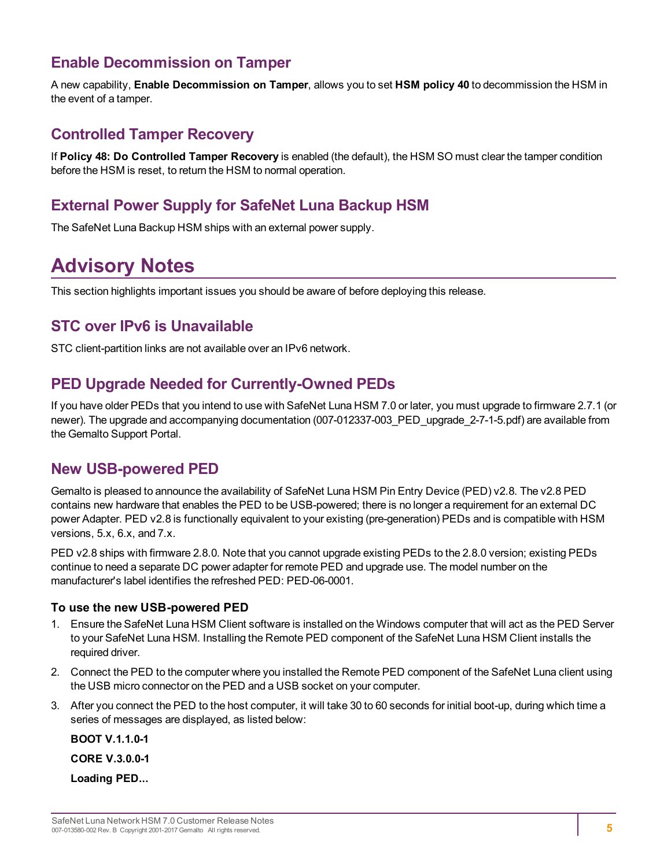### <span id="page-4-0"></span>**Enable Decommission on Tamper**

A new capability, **Enable Decommission on Tamper**, allows you to set **HSM policy 40** to decommission the HSM in the event of a tamper.

### <span id="page-4-1"></span>**Controlled Tamper Recovery**

If **Policy 48: Do Controlled Tamper Recovery** is enabled (the default), the HSM SO must clear the tamper condition before the HSM is reset, to return the HSM to normal operation.

### <span id="page-4-2"></span>**External Power Supply for SafeNet Luna Backup HSM**

<span id="page-4-3"></span>The SafeNet Luna Backup HSM ships with an external power supply.

## **Advisory Notes**

<span id="page-4-4"></span>This section highlights important issues you should be aware of before deploying this release.

### **STC over IPv6 is Unavailable**

<span id="page-4-5"></span>STC client-partition links are not available over an IPv6 network.

### **PED Upgrade Needed for Currently-Owned PEDs**

If you have older PEDs that you intend to use with SafeNet Luna HSM 7.0 or later, you must upgrade to firmware 2.7.1 (or newer). The upgrade and accompanying documentation (007-012337-003\_PED\_upgrade\_2-7-1-5.pdf) are available from the Gemalto Support Portal.

### <span id="page-4-6"></span>**New USB-powered PED**

Gemalto is pleased to announce the availability of SafeNet Luna HSM Pin Entry Device (PED) v2.8. The v2.8 PED contains new hardware that enables the PED to be USB-powered; there is no longer a requirement for an external DC power Adapter. PED v2.8 is functionally equivalent to your existing (pre-generation) PEDs and is compatible with HSM versions, 5.x, 6.x, and 7.x.

PED v2.8 ships with firmware 2.8.0. Note that you cannot upgrade existing PEDs to the 2.8.0 version; existing PEDs continue to need a separate DC power adapter for remote PED and upgrade use. The model number on the manufacturer's label identifies the refreshed PED: PED-06-0001.

#### **To use the new USB-powered PED**

- 1. Ensure the SafeNet Luna HSM Client software is installed on the Windows computer that will act as the PED Server to your SafeNet Luna HSM. Installing the Remote PED component of the SafeNet Luna HSM Client installs the required driver.
- 2. Connect the PED to the computer where you installed the Remote PED component of the SafeNet Luna client using the USB micro connector on the PED and a USB socket on your computer.
- 3. After you connect the PED to the host computer, it will take 30 to 60 seconds for initial boot-up, during which time a series of messages are displayed, as listed below:

**BOOT V.1.1.0-1 CORE V.3.0.0-1 Loading PED...**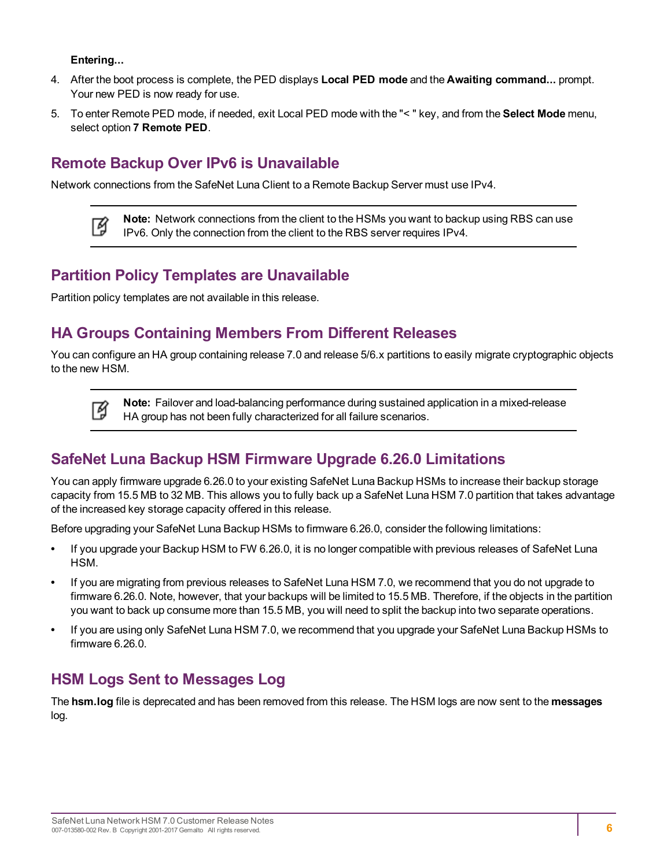#### **Entering...**

⊠

- 4. After the boot process is complete, the PED displays **Local PED mode** and the **Awaiting command...** prompt. Your new PED is now ready for use.
- 5. To enter Remote PED mode, if needed, exit Local PED mode with the "< " key, and from the **Select Mode** menu, select option **7 Remote PED**.

### <span id="page-5-0"></span>**Remote Backup Over IPv6 is Unavailable**

Network connections from the SafeNet Luna Client to a Remote Backup Server must use IPv4.

**Note:** Network connections from the client to the HSMs you want to backup using RBS can use 冏 IPv6. Only the connection from the client to the RBS server requires IPv4.

### <span id="page-5-1"></span>**Partition Policy Templates are Unavailable**

<span id="page-5-2"></span>Partition policy templates are not available in this release.

### **HA Groups Containing Members From Different Releases**

You can configure an HA group containing release 7.0 and release 5/6.x partitions to easily migrate cryptographic objects to the new HSM.

> **Note:** Failover and load-balancing performance during sustained application in a mixed-release HA group has not been fully characterized for all failure scenarios.

### <span id="page-5-3"></span>**SafeNet Luna Backup HSM Firmware Upgrade 6.26.0 Limitations**

You can apply firmware upgrade 6.26.0 to your existing SafeNet Luna Backup HSMs to increase their backup storage capacity from 15.5 MB to 32 MB. This allows you to fully back up a SafeNet Luna HSM 7.0 partition that takes advantage of the increased key storage capacity offered in this release.

Before upgrading your SafeNet Luna Backup HSMs to firmware 6.26.0, consider the following limitations:

- **•** If you upgrade your Backup HSM to FW 6.26.0, it is no longer compatible with previous releases of SafeNet Luna HSM.
- **•** If you are migrating from previous releases to SafeNet Luna HSM 7.0, we recommend that you do not upgrade to firmware 6.26.0. Note, however, that your backups will be limited to 15.5 MB. Therefore, if the objects in the partition you want to back up consume more than 15.5 MB, you will need to split the backup into two separate operations.
- **•** If you are using only SafeNet Luna HSM 7.0, we recommend that you upgrade your SafeNet Luna Backup HSMs to firmware 6.26.0.

### <span id="page-5-4"></span>**HSM Logs Sent to Messages Log**

The **hsm.log** file is deprecated and has been removed from this release. The HSM logs are now sent to the **messages** log.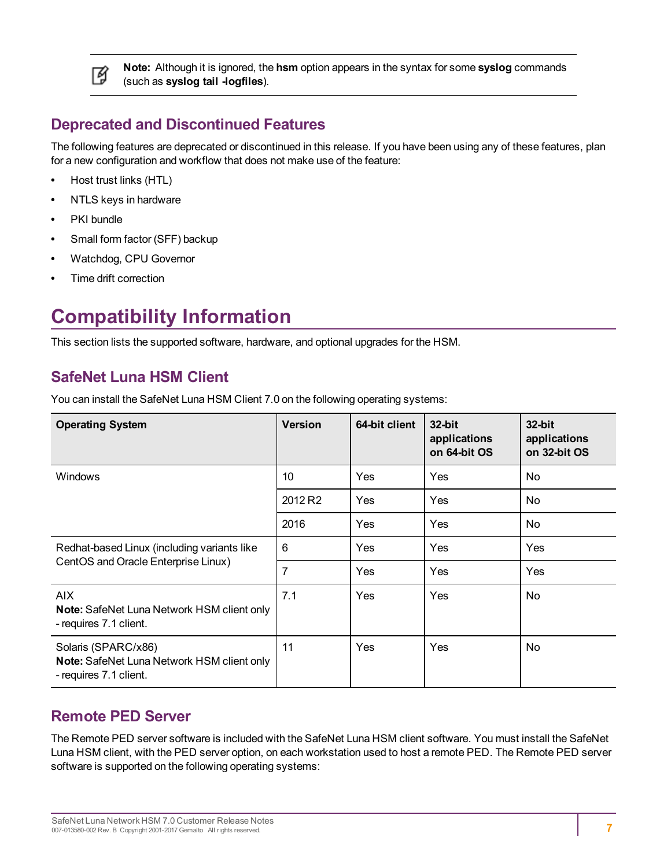

**Note:** Although it is ignored, the **hsm** option appears in the syntax for some **syslog** commands (such as **syslog tail -logfiles**).

### <span id="page-6-0"></span>**Deprecated and Discontinued Features**

The following features are deprecated or discontinued in this release. If you have been using any of these features, plan for a new configuration and workflow that does not make use of the feature:

- **•** Host trust links (HTL)
- **•** NTLS keys in hardware
- **•** PKI bundle
- **•** Small form factor (SFF) backup
- **•** Watchdog, CPU Governor
- <span id="page-6-1"></span>**•** Time drift correction

## **Compatibility Information**

<span id="page-6-2"></span>This section lists the supported software, hardware, and optional upgrades for the HSM.

### **SafeNet Luna HSM Client**

You can install the SafeNet Luna HSM Client 7.0 on the following operating systems:

| <b>Operating System</b>                                                                     | <b>Version</b>      | 64-bit client | 32-bit<br>applications<br>on 64-bit OS | 32-bit<br>applications<br>on 32-bit OS |
|---------------------------------------------------------------------------------------------|---------------------|---------------|----------------------------------------|----------------------------------------|
| <b>Windows</b>                                                                              | 10                  | Yes           | Yes                                    | No                                     |
|                                                                                             | 2012 R <sub>2</sub> | <b>Yes</b>    | Yes                                    | No                                     |
|                                                                                             | 2016                | <b>Yes</b>    | Yes                                    | No                                     |
| Redhat-based Linux (including variants like                                                 | 6                   | <b>Yes</b>    | Yes                                    | Yes                                    |
| CentOS and Oracle Enterprise Linux)                                                         | 7                   | Yes           | Yes                                    | <b>Yes</b>                             |
| AIX<br><b>Note:</b> SafeNet Luna Network HSM client only<br>- requires 7.1 client.          | 7.1                 | Yes           | Yes                                    | No                                     |
| Solaris (SPARC/x86)<br>Note: SafeNet Luna Network HSM client only<br>- requires 7.1 client. | 11                  | Yes           | Yes                                    | No                                     |

### <span id="page-6-3"></span>**Remote PED Server**

The Remote PED server software is included with the SafeNet Luna HSM client software. You must install the SafeNet Luna HSM client, with the PED server option, on each workstation used to host a remote PED. The Remote PED server software is supported on the following operating systems: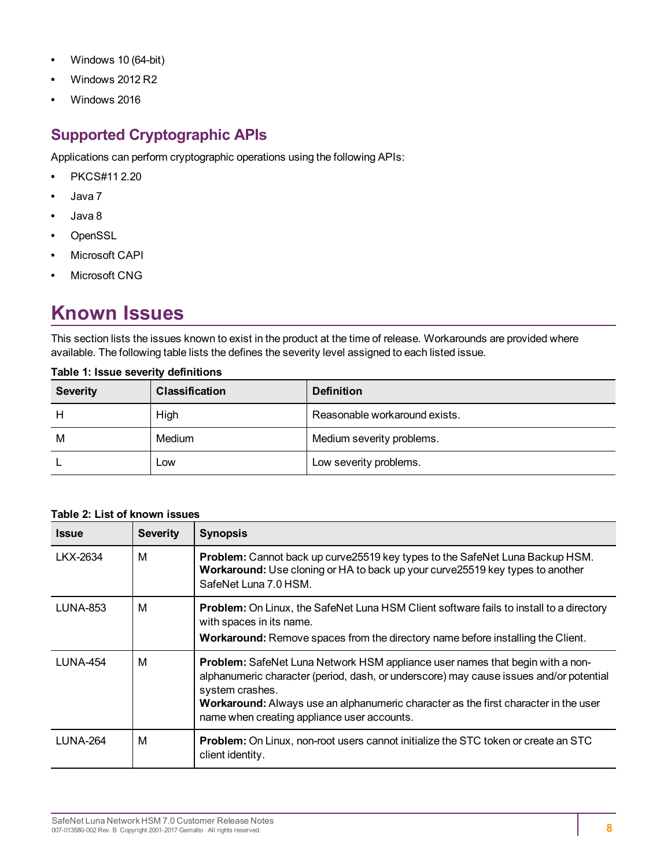- **•** Windows 10 (64-bit)
- **•** Windows 2012 R2
- <span id="page-7-0"></span>**•** Windows 2016

### **Supported Cryptographic APIs**

Applications can perform cryptographic operations using the following APIs:

- **•** PKCS#11 2.20
- **•** Java 7
- **•** Java 8
- **•** OpenSSL
- **•** Microsoft CAPI
- <span id="page-7-1"></span>**•** Microsoft CNG

## **Known Issues**

This section lists the issues known to exist in the product at the time of release. Workarounds are provided where available. The following table lists the defines the severity level assigned to each listed issue.

| <b>Severity</b> | <b>Classification</b> | <b>Definition</b>             |
|-----------------|-----------------------|-------------------------------|
| Н               | High                  | Reasonable workaround exists. |
| M               | Medium                | Medium severity problems.     |
|                 | Low                   | Low severity problems.        |

#### **Table 1: Issue severity definitions**

#### **Table 2: List of known issues**

| <b>Issue</b>    | <b>Severity</b> | <b>Synopsis</b>                                                                                                                                                                                                                                                                                                                         |
|-----------------|-----------------|-----------------------------------------------------------------------------------------------------------------------------------------------------------------------------------------------------------------------------------------------------------------------------------------------------------------------------------------|
| LKX-2634        | М               | Problem: Cannot back up curve25519 key types to the SafeNet Luna Backup HSM.<br>Workaround: Use cloning or HA to back up your curve 25519 key types to another<br>SafeNet Luna 7.0 HSM.                                                                                                                                                 |
| <b>LUNA-853</b> | м               | <b>Problem:</b> On Linux, the SafeNet Luna HSM Client software fails to install to a directory<br>with spaces in its name.<br>Workaround: Remove spaces from the directory name before installing the Client.                                                                                                                           |
| <b>LUNA-454</b> | М               | <b>Problem:</b> SafeNet Luna Network HSM appliance user names that begin with a non-<br>alphanumeric character (period, dash, or underscore) may cause issues and/or potential<br>system crashes.<br>Workaround: Always use an alphanumeric character as the first character in the user<br>name when creating appliance user accounts. |
| LUNA-264        | м               | Problem: On Linux, non-root users cannot initialize the STC token or create an STC<br>client identity.                                                                                                                                                                                                                                  |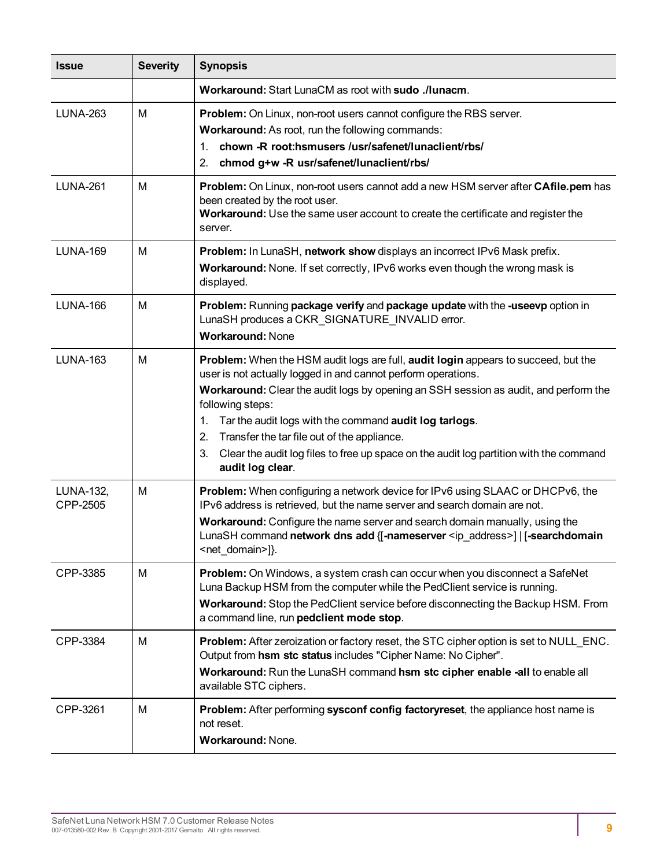| <b>Issue</b>          | <b>Severity</b> | <b>Synopsis</b>                                                                                                                                                                                                                                                                                                                                                                                                                                                                                          |
|-----------------------|-----------------|----------------------------------------------------------------------------------------------------------------------------------------------------------------------------------------------------------------------------------------------------------------------------------------------------------------------------------------------------------------------------------------------------------------------------------------------------------------------------------------------------------|
|                       |                 | Workaround: Start LunaCM as root with sudo ./lunacm.                                                                                                                                                                                                                                                                                                                                                                                                                                                     |
| <b>LUNA-263</b>       | M               | Problem: On Linux, non-root users cannot configure the RBS server.<br>Workaround: As root, run the following commands:<br>chown -R root:hsmusers /usr/safenet/lunaclient/rbs/<br>$\mathbf{1}$ .<br>chmod g+w -R usr/safenet/lunaclient/rbs/<br>2.                                                                                                                                                                                                                                                        |
| <b>LUNA-261</b>       | М               | Problem: On Linux, non-root users cannot add a new HSM server after CAfile.pem has<br>been created by the root user.<br>Workaround: Use the same user account to create the certificate and register the<br>server.                                                                                                                                                                                                                                                                                      |
| <b>LUNA-169</b>       | M               | Problem: In LunaSH, network show displays an incorrect IPv6 Mask prefix.<br>Workaround: None. If set correctly, IPv6 works even though the wrong mask is<br>displayed.                                                                                                                                                                                                                                                                                                                                   |
| <b>LUNA-166</b>       | M               | Problem: Running package verify and package update with the -useevp option in<br>LunaSH produces a CKR_SIGNATURE_INVALID error.<br><b>Workaround: None</b>                                                                                                                                                                                                                                                                                                                                               |
| <b>LUNA-163</b>       | M               | Problem: When the HSM audit logs are full, audit login appears to succeed, but the<br>user is not actually logged in and cannot perform operations.<br>Workaround: Clear the audit logs by opening an SSH session as audit, and perform the<br>following steps:<br>Tar the audit logs with the command audit log tarlogs.<br>1.<br>Transfer the tar file out of the appliance.<br>2.<br>Clear the audit log files to free up space on the audit log partition with the command<br>3.<br>audit log clear. |
| LUNA-132,<br>CPP-2505 | M               | <b>Problem:</b> When configuring a network device for IPv6 using SLAAC or DHCPv6, the<br>IPv6 address is retrieved, but the name server and search domain are not.<br>Workaround: Configure the name server and search domain manually, using the<br>LunaSH command network dns add {[-nameserver <ip_address>]   [-searchdomain<br/><net_domain>]}.</net_domain></ip_address>                                                                                                                           |
| CPP-3385              | M               | Problem: On Windows, a system crash can occur when you disconnect a SafeNet<br>Luna Backup HSM from the computer while the PedClient service is running.<br>Workaround: Stop the PedClient service before disconnecting the Backup HSM. From<br>a command line, run pedclient mode stop.                                                                                                                                                                                                                 |
| CPP-3384              | M               | <b>Problem:</b> After zeroization or factory reset, the STC cipher option is set to NULL_ENC.<br>Output from hsm stc status includes "Cipher Name: No Cipher".<br>Workaround: Run the LunaSH command hsm stc cipher enable -all to enable all<br>available STC ciphers.                                                                                                                                                                                                                                  |
| CPP-3261              | M               | Problem: After performing sysconf config factoryreset, the appliance host name is<br>not reset.<br>Workaround: None.                                                                                                                                                                                                                                                                                                                                                                                     |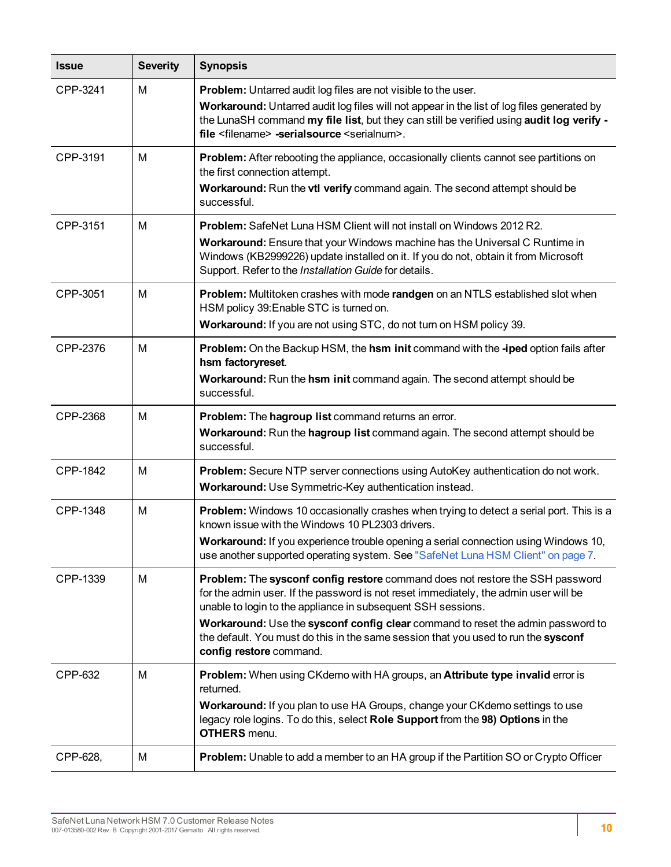| <b>Issue</b> | <b>Severity</b> | <b>Synopsis</b>                                                                                                                                                                                                                                                                                                                                                                                                                           |
|--------------|-----------------|-------------------------------------------------------------------------------------------------------------------------------------------------------------------------------------------------------------------------------------------------------------------------------------------------------------------------------------------------------------------------------------------------------------------------------------------|
| CPP-3241     | M               | <b>Problem:</b> Untarred audit log files are not visible to the user.<br>Workaround: Untarred audit log files will not appear in the list of log files generated by<br>the LunaSH command my file list, but they can still be verified using audit log verify -<br>file <filename> -serialsource <serialnum>.</serialnum></filename>                                                                                                      |
| CPP-3191     | M               | Problem: After rebooting the appliance, occasionally clients cannot see partitions on<br>the first connection attempt.<br>Workaround: Run the vtl verify command again. The second attempt should be<br>successful.                                                                                                                                                                                                                       |
| CPP-3151     | м               | Problem: SafeNet Luna HSM Client will not install on Windows 2012 R2.<br>Workaround: Ensure that your Windows machine has the Universal C Runtime in<br>Windows (KB2999226) update installed on it. If you do not, obtain it from Microsoft<br>Support. Refer to the Installation Guide for details.                                                                                                                                      |
| CPP-3051     | м               | Problem: Multitoken crashes with mode randgen on an NTLS established slot when<br>HSM policy 39: Enable STC is turned on.<br>Workaround: If you are not using STC, do not turn on HSM policy 39.                                                                                                                                                                                                                                          |
| CPP-2376     | M               | Problem: On the Backup HSM, the hsm init command with the -iped option fails after<br>hsm factoryreset.<br>Workaround: Run the hsm init command again. The second attempt should be<br>successful.                                                                                                                                                                                                                                        |
| CPP-2368     | M               | Problem: The hagroup list command returns an error.<br>Workaround: Run the hagroup list command again. The second attempt should be<br>successful.                                                                                                                                                                                                                                                                                        |
| CPP-1842     | м               | Problem: Secure NTP server connections using AutoKey authentication do not work.<br>Workaround: Use Symmetric-Key authentication instead.                                                                                                                                                                                                                                                                                                 |
| CPP-1348     | M               | Problem: Windows 10 occasionally crashes when trying to detect a serial port. This is a<br>known issue with the Windows 10 PL2303 drivers.<br>Workaround: If you experience trouble opening a serial connection using Windows 10,<br>use another supported operating system. See "SafeNet Luna HSM Client" on page 7.                                                                                                                     |
| CPP-1339     | M               | Problem: The sysconf config restore command does not restore the SSH password<br>for the admin user. If the password is not reset immediately, the admin user will be<br>unable to login to the appliance in subsequent SSH sessions.<br>Workaround: Use the sysconf config clear command to reset the admin password to<br>the default. You must do this in the same session that you used to run the sysconf<br>config restore command. |
| CPP-632      | M               | Problem: When using CKdemo with HA groups, an Attribute type invalid error is<br>returned.<br>Workaround: If you plan to use HA Groups, change your CKdemo settings to use<br>legacy role logins. To do this, select Role Support from the 98) Options in the<br><b>OTHERS</b> menu.                                                                                                                                                      |
| CPP-628,     | Μ               | Problem: Unable to add a member to an HA group if the Partition SO or Crypto Officer                                                                                                                                                                                                                                                                                                                                                      |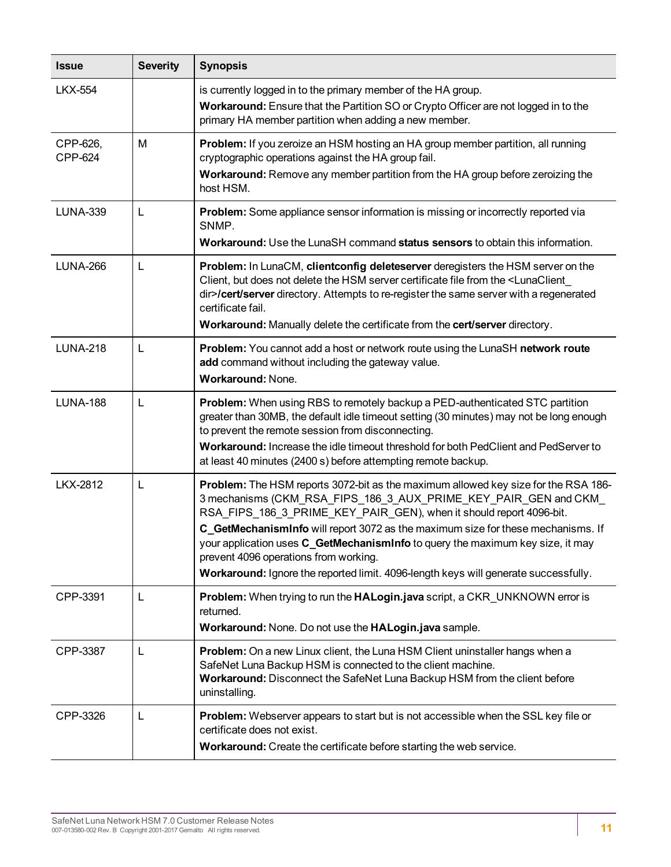| <b>Issue</b>        | <b>Severity</b> | <b>Synopsis</b>                                                                                                                                                                                                                                                                                                                                                                                                                                                                                                                     |
|---------------------|-----------------|-------------------------------------------------------------------------------------------------------------------------------------------------------------------------------------------------------------------------------------------------------------------------------------------------------------------------------------------------------------------------------------------------------------------------------------------------------------------------------------------------------------------------------------|
| <b>LKX-554</b>      |                 | is currently logged in to the primary member of the HA group.<br>Workaround: Ensure that the Partition SO or Crypto Officer are not logged in to the<br>primary HA member partition when adding a new member.                                                                                                                                                                                                                                                                                                                       |
| CPP-626,<br>CPP-624 | м               | Problem: If you zeroize an HSM hosting an HA group member partition, all running<br>cryptographic operations against the HA group fail.<br>Workaround: Remove any member partition from the HA group before zeroizing the<br>host HSM.                                                                                                                                                                                                                                                                                              |
| <b>LUNA-339</b>     | L               | Problem: Some appliance sensor information is missing or incorrectly reported via<br>SNMP.<br>Workaround: Use the LunaSH command status sensors to obtain this information.                                                                                                                                                                                                                                                                                                                                                         |
| <b>LUNA-266</b>     | L               | Problem: In LunaCM, clientconfig deleteserver deregisters the HSM server on the<br>Client, but does not delete the HSM server certificate file from the <lunaclient<br>dir&gt;/cert/server directory. Attempts to re-register the same server with a regenerated<br/>certificate fail.<br/>Workaround: Manually delete the certificate from the cert/server directory.</lunaclient<br>                                                                                                                                              |
| <b>LUNA-218</b>     | L               | Problem: You cannot add a host or network route using the LunaSH network route<br>add command without including the gateway value.<br><b>Workaround: None.</b>                                                                                                                                                                                                                                                                                                                                                                      |
| <b>LUNA-188</b>     | L               | Problem: When using RBS to remotely backup a PED-authenticated STC partition<br>greater than 30MB, the default idle timeout setting (30 minutes) may not be long enough<br>to prevent the remote session from disconnecting.<br>Workaround: Increase the idle timeout threshold for both PedClient and PedServer to<br>at least 40 minutes (2400 s) before attempting remote backup.                                                                                                                                                |
| <b>LKX-2812</b>     | L               | Problem: The HSM reports 3072-bit as the maximum allowed key size for the RSA 186-<br>3 mechanisms (CKM_RSA_FIPS_186_3_AUX_PRIME_KEY_PAIR_GEN and CKM_<br>RSA_FIPS_186_3_PRIME_KEY_PAIR_GEN), when it should report 4096-bit.<br>C_GetMechanismInfo will report 3072 as the maximum size for these mechanisms. If<br>your application uses C_GetMechanismInfo to query the maximum key size, it may<br>prevent 4096 operations from working.<br>Workaround: Ignore the reported limit. 4096-length keys will generate successfully. |
| CPP-3391            | L               | <b>Problem:</b> When trying to run the <b>HALogin.java</b> script, a CKR_UNKNOWN error is<br>returned.<br>Workaround: None. Do not use the HALogin.java sample.                                                                                                                                                                                                                                                                                                                                                                     |
| CPP-3387            | L               | Problem: On a new Linux client, the Luna HSM Client uninstaller hangs when a<br>SafeNet Luna Backup HSM is connected to the client machine.<br>Workaround: Disconnect the SafeNet Luna Backup HSM from the client before<br>uninstalling.                                                                                                                                                                                                                                                                                           |
| CPP-3326            | L               | Problem: Webserver appears to start but is not accessible when the SSL key file or<br>certificate does not exist.<br>Workaround: Create the certificate before starting the web service.                                                                                                                                                                                                                                                                                                                                            |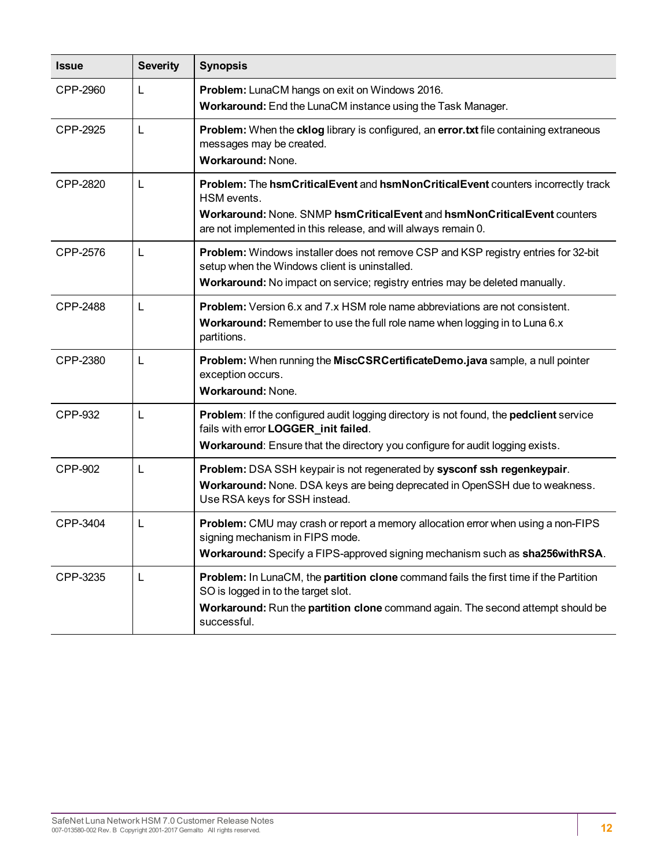| <b>Issue</b>    | <b>Severity</b> | <b>Synopsis</b>                                                                                                                                                                                                                               |
|-----------------|-----------------|-----------------------------------------------------------------------------------------------------------------------------------------------------------------------------------------------------------------------------------------------|
| CPP-2960        | L               | Problem: LunaCM hangs on exit on Windows 2016.<br>Workaround: End the LunaCM instance using the Task Manager.                                                                                                                                 |
| CPP-2925        | L               | Problem: When the cklog library is configured, an error.txt file containing extraneous<br>messages may be created.<br>Workaround: None.                                                                                                       |
| CPP-2820        | L               | Problem: The hsmCriticalEvent and hsmNonCriticalEvent counters incorrectly track<br>HSM events.<br>Workaround: None. SNMP hsmCriticalEvent and hsmNonCriticalEvent counters<br>are not implemented in this release, and will always remain 0. |
| CPP-2576        | L               | Problem: Windows installer does not remove CSP and KSP registry entries for 32-bit<br>setup when the Windows client is uninstalled.<br>Workaround: No impact on service; registry entries may be deleted manually.                            |
| <b>CPP-2488</b> | L               | <b>Problem:</b> Version 6.x and 7.x HSM role name abbreviations are not consistent.<br>Workaround: Remember to use the full role name when logging in to Luna 6.x<br>partitions.                                                              |
| CPP-2380        | L               | Problem: When running the MiscCSRCertificateDemo.java sample, a null pointer<br>exception occurs.<br><b>Workaround: None.</b>                                                                                                                 |
| CPP-932         | L               | <b>Problem:</b> If the configured audit logging directory is not found, the <b>pedclient</b> service<br>fails with error LOGGER_init failed.<br>Workaround: Ensure that the directory you configure for audit logging exists.                 |
| <b>CPP-902</b>  | L               | Problem: DSA SSH keypair is not regenerated by sysconf ssh regenkeypair.<br>Workaround: None. DSA keys are being deprecated in OpenSSH due to weakness.<br>Use RSA keys for SSH instead.                                                      |
| CPP-3404        | L               | <b>Problem:</b> CMU may crash or report a memory allocation error when using a non-FIPS<br>signing mechanism in FIPS mode.<br>Workaround: Specify a FIPS-approved signing mechanism such as sha256withRSA.                                    |
| CPP-3235        | L               | Problem: In LunaCM, the partition clone command fails the first time if the Partition<br>SO is logged in to the target slot.<br>Workaround: Run the partition clone command again. The second attempt should be<br>successful.                |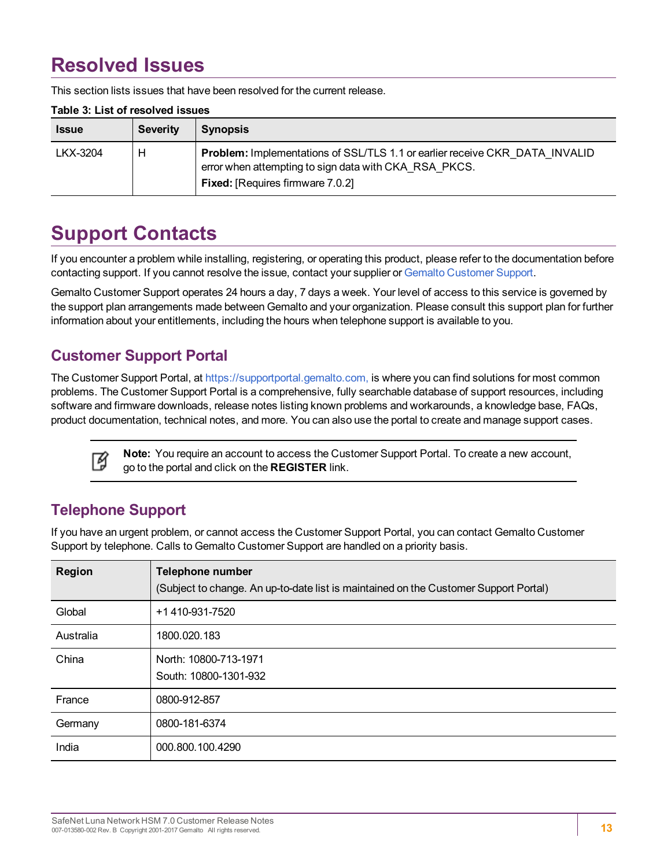## <span id="page-12-0"></span>**Resolved Issues**

This section lists issues that have been resolved for the current release.

| <b>Issue</b> | Severity | <b>Synopsis</b>                                                                                                                                                                 |
|--------------|----------|---------------------------------------------------------------------------------------------------------------------------------------------------------------------------------|
| LKX-3204     | н        | Problem: Implementations of SSL/TLS 1.1 or earlier receive CKR DATA INVALID<br>error when attempting to sign data with CKA RSA PKCS.<br><b>Fixed:</b> [Requires firmware 7.0.2] |

#### **Table 3: List of resolved issues**

## <span id="page-12-1"></span>**Support Contacts**

If you encounter a problem while installing, registering, or operating this product, please refer to the documentation before contacting support. If you cannot resolve the issue, contact your supplier or Gemalto [Customer](https://supportportal.gemalto.com/) Support.

Gemalto Customer Support operates 24 hours a day, 7 days a week. Your level of access to this service is governed by the support plan arrangements made between Gemalto and your organization. Please consult this support plan for further information about your entitlements, including the hours when telephone support is available to you.

### <span id="page-12-2"></span>**Customer Support Portal**

The Customer Support Portal, at [https://supportportal.gemalto.com,](https://supportportal.gemalto.com/) is where you can find solutions for most common problems. The Customer Support Portal is a comprehensive, fully searchable database of support resources, including software and firmware downloads, release notes listing known problems and workarounds, a knowledge base, FAQs, product documentation, technical notes, and more. You can also use the portal to create and manage support cases.



**Note:** You require an account to access the Customer Support Portal. To create a new account, go to the portal and click on the **REGISTER** link.

### <span id="page-12-3"></span>**Telephone Support**

If you have an urgent problem, or cannot access the Customer Support Portal, you can contact Gemalto Customer Support by telephone. Calls to Gemalto Customer Support are handled on a priority basis.

| <b>Region</b> | <b>Telephone number</b><br>(Subject to change. An up-to-date list is maintained on the Customer Support Portal) |
|---------------|-----------------------------------------------------------------------------------------------------------------|
| Global        | +1 410-931-7520                                                                                                 |
| Australia     | 1800.020.183                                                                                                    |
| China         | North: 10800-713-1971<br>South: 10800-1301-932                                                                  |
| France        | 0800-912-857                                                                                                    |
| Germany       | 0800-181-6374                                                                                                   |
| India         | 000.800.100.4290                                                                                                |